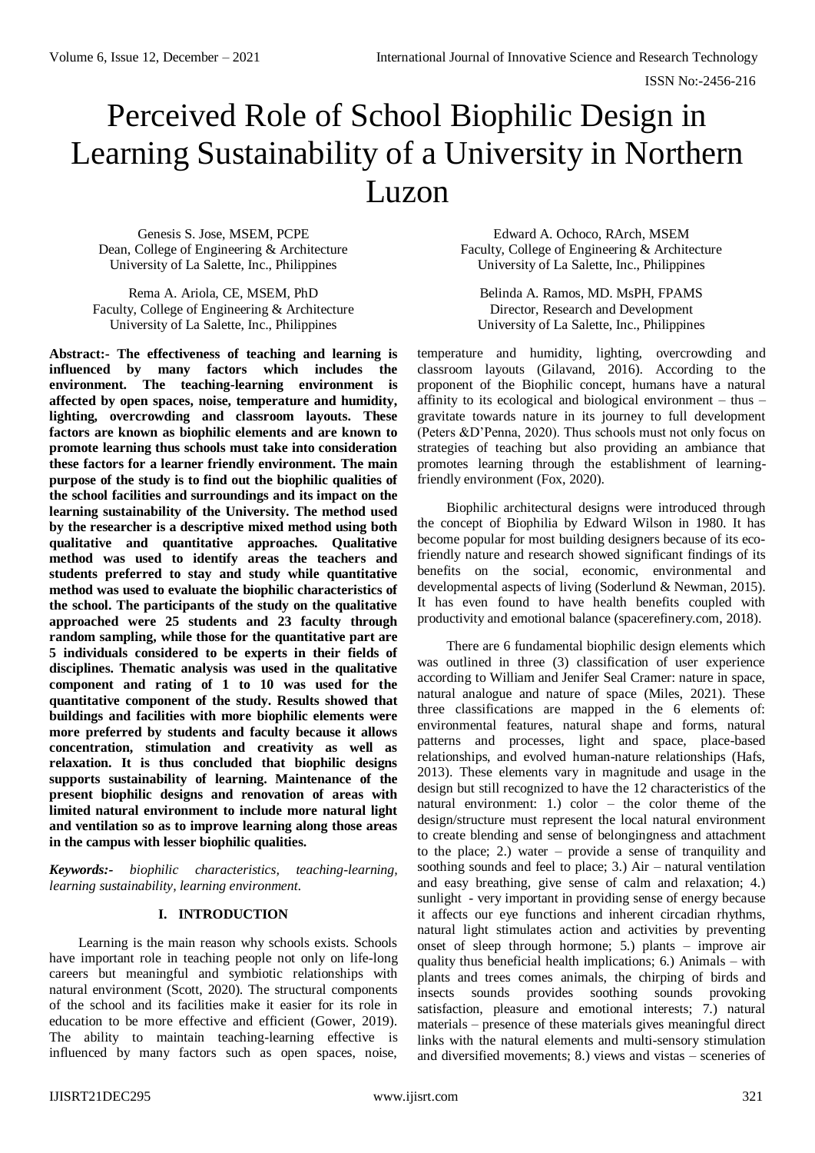# Perceived Role of School Biophilic Design in Learning Sustainability of a University in Northern Luzon

Genesis S. Jose, MSEM, PCPE Dean, College of Engineering & Architecture University of La Salette, Inc., Philippines

Rema A. Ariola, CE, MSEM, PhD Faculty, College of Engineering & Architecture University of La Salette, Inc., Philippines

**Abstract:- The effectiveness of teaching and learning is influenced by many factors which includes the environment. The teaching-learning environment is affected by open spaces, noise, temperature and humidity, lighting, overcrowding and classroom layouts. These factors are known as biophilic elements and are known to promote learning thus schools must take into consideration these factors for a learner friendly environment. The main purpose of the study is to find out the biophilic qualities of the school facilities and surroundings and its impact on the learning sustainability of the University. The method used by the researcher is a descriptive mixed method using both qualitative and quantitative approaches. Qualitative method was used to identify areas the teachers and students preferred to stay and study while quantitative method was used to evaluate the biophilic characteristics of the school. The participants of the study on the qualitative approached were 25 students and 23 faculty through random sampling, while those for the quantitative part are 5 individuals considered to be experts in their fields of disciplines. Thematic analysis was used in the qualitative component and rating of 1 to 10 was used for the quantitative component of the study. Results showed that buildings and facilities with more biophilic elements were more preferred by students and faculty because it allows concentration, stimulation and creativity as well as relaxation. It is thus concluded that biophilic designs supports sustainability of learning. Maintenance of the present biophilic designs and renovation of areas with limited natural environment to include more natural light and ventilation so as to improve learning along those areas in the campus with lesser biophilic qualities.**

*Keywords:- biophilic characteristics, teaching-learning, learning sustainability, learning environment.*

# **I. INTRODUCTION**

Learning is the main reason why schools exists. Schools have important role in teaching people not only on life-long careers but meaningful and symbiotic relationships with natural environment (Scott, 2020). The structural components of the school and its facilities make it easier for its role in education to be more effective and efficient (Gower, 2019). The ability to maintain teaching-learning effective is influenced by many factors such as open spaces, noise,

Edward A. Ochoco, RArch, MSEM Faculty, College of Engineering & Architecture University of La Salette, Inc., Philippines

Belinda A. Ramos, MD. MsPH, FPAMS Director, Research and Development University of La Salette, Inc., Philippines

temperature and humidity, lighting, overcrowding and classroom layouts (Gilavand, 2016). According to the proponent of the Biophilic concept, humans have a natural affinity to its ecological and biological environment – thus – gravitate towards nature in its journey to full development (Peters &D'Penna, 2020). Thus schools must not only focus on strategies of teaching but also providing an ambiance that promotes learning through the establishment of learningfriendly environment (Fox, 2020).

Biophilic architectural designs were introduced through the concept of Biophilia by Edward Wilson in 1980. It has become popular for most building designers because of its ecofriendly nature and research showed significant findings of its benefits on the social, economic, environmental and developmental aspects of living (Soderlund & Newman, 2015). It has even found to have health benefits coupled with productivity and emotional balance (spacerefinery.com, 2018).

There are 6 fundamental biophilic design elements which was outlined in three (3) classification of user experience according to William and Jenifer Seal Cramer: nature in space, natural analogue and nature of space (Miles, 2021). These three classifications are mapped in the 6 elements of: environmental features, natural shape and forms, natural patterns and processes, light and space, place-based relationships, and evolved human-nature relationships (Hafs, 2013). These elements vary in magnitude and usage in the design but still recognized to have the 12 characteristics of the natural environment: 1.) color – the color theme of the design/structure must represent the local natural environment to create blending and sense of belongingness and attachment to the place; 2.) water – provide a sense of tranquility and soothing sounds and feel to place; 3.) Air – natural ventilation and easy breathing, give sense of calm and relaxation; 4.) sunlight - very important in providing sense of energy because it affects our eye functions and inherent circadian rhythms, natural light stimulates action and activities by preventing onset of sleep through hormone; 5.) plants – improve air quality thus beneficial health implications; 6.) Animals – with plants and trees comes animals, the chirping of birds and insects sounds provides soothing sounds provoking satisfaction, pleasure and emotional interests; 7.) natural materials – presence of these materials gives meaningful direct links with the natural elements and multi-sensory stimulation and diversified movements; 8.) views and vistas – sceneries of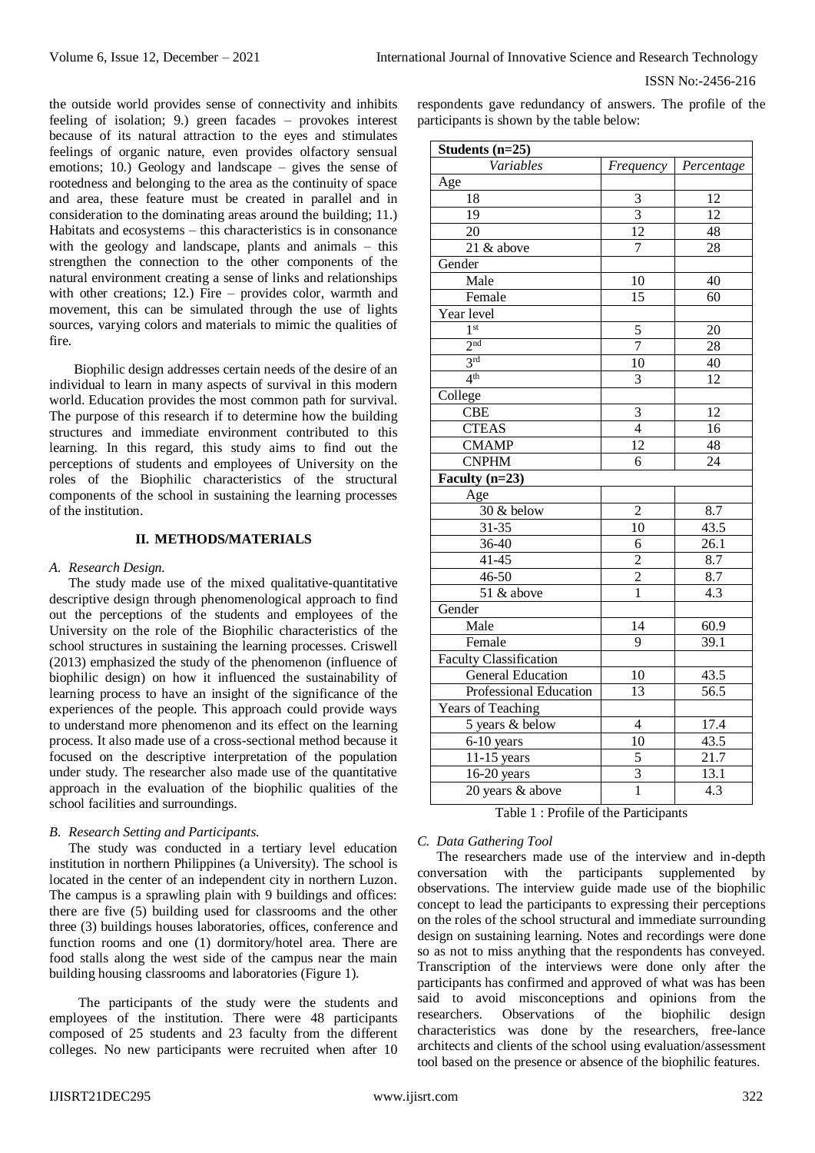ISSN No:-2456-216

the outside world provides sense of connectivity and inhibits feeling of isolation; 9.) green facades – provokes interest because of its natural attraction to the eyes and stimulates feelings of organic nature, even provides olfactory sensual emotions; 10.) Geology and landscape – gives the sense of rootedness and belonging to the area as the continuity of space and area, these feature must be created in parallel and in consideration to the dominating areas around the building; 11.) Habitats and ecosystems – this characteristics is in consonance with the geology and landscape, plants and animals – this strengthen the connection to the other components of the natural environment creating a sense of links and relationships with other creations; 12.) Fire – provides color, warmth and movement, this can be simulated through the use of lights sources, varying colors and materials to mimic the qualities of fire.

Biophilic design addresses certain needs of the desire of an individual to learn in many aspects of survival in this modern world. Education provides the most common path for survival. The purpose of this research if to determine how the building structures and immediate environment contributed to this learning. In this regard, this study aims to find out the perceptions of students and employees of University on the roles of the Biophilic characteristics of the structural components of the school in sustaining the learning processes of the institution.

## **II. METHODS/MATERIALS**

#### *A. Research Design.*

The study made use of the mixed qualitative-quantitative descriptive design through phenomenological approach to find out the perceptions of the students and employees of the University on the role of the Biophilic characteristics of the school structures in sustaining the learning processes. Criswell (2013) emphasized the study of the phenomenon (influence of biophilic design) on how it influenced the sustainability of learning process to have an insight of the significance of the experiences of the people. This approach could provide ways to understand more phenomenon and its effect on the learning process. It also made use of a cross-sectional method because it focused on the descriptive interpretation of the population under study. The researcher also made use of the quantitative approach in the evaluation of the biophilic qualities of the school facilities and surroundings.

#### *B. Research Setting and Participants.*

The study was conducted in a tertiary level education institution in northern Philippines (a University). The school is located in the center of an independent city in northern Luzon. The campus is a sprawling plain with 9 buildings and offices: there are five (5) building used for classrooms and the other three (3) buildings houses laboratories, offices, conference and function rooms and one (1) dormitory/hotel area. There are food stalls along the west side of the campus near the main building housing classrooms and laboratories (Figure 1).

The participants of the study were the students and employees of the institution. There were 48 participants composed of 25 students and 23 faculty from the different colleges. No new participants were recruited when after 10 respondents gave redundancy of answers. The profile of the participants is shown by the table below:

| Students $(n=25)$             |                |                   |
|-------------------------------|----------------|-------------------|
| Variables                     | Frequency      | Percentage        |
| Age                           |                |                   |
| 18                            | 3              | 12                |
| 19                            | $\overline{3}$ | $\overline{12}$   |
| $\overline{20}$               | 12             | 48                |
| $\overline{21}$ & above       | 7              | 28                |
| Gender                        |                |                   |
| Male                          | 10             | 40                |
| Female                        | 15             | 60                |
| Year level                    |                |                   |
| 1 <sup>st</sup>               | 5              | 20                |
| 2 <sup>nd</sup>               | $\overline{7}$ | 28                |
| 3 <sup>rd</sup>               | 10             | 40                |
| 4 <sup>th</sup>               | 3              | 12                |
| College                       |                |                   |
| $\overline{\text{CBE}}$       | 3              | 12                |
| <b>CTEAS</b>                  | $\overline{4}$ | $\overline{16}$   |
| <b>CMAMP</b>                  | 12             | 48                |
| <b>CNPHM</b>                  | 6              | $\overline{24}$   |
| Faculty $(n=23)$              |                |                   |
| Age                           |                |                   |
| 30 & below                    | $\overline{c}$ | 8.7               |
| 31-35                         | 10             | 43.5              |
| 36-40                         | 6              | 26.1              |
| $41 - 45$                     | $\overline{2}$ | 8.7               |
| $46 - 50$                     | $\overline{2}$ | 8.7               |
| $\overline{51}$ & above       | $\mathbf{1}$   | $\overline{4.3}$  |
| Gender                        |                |                   |
| Male                          | 14             | 60.9              |
| Female                        | 9              | 39.1              |
| <b>Faculty Classification</b> |                |                   |
| General Education             | 10             | 43.5              |
| Professional Education        | 13             | $\overline{56.5}$ |
| Years of Teaching             |                |                   |
| 5 years & below               | 4              | 17.4              |
| 6-10 years                    | 10             | 43.5              |
| 11-15 years                   | $\overline{5}$ | 21.7              |
| 16-20 years                   | $\overline{3}$ | 13.1              |
| 20 years & above              | $\overline{1}$ | $\overline{4.3}$  |

Table 1 : Profile of the Participants

#### *C. Data Gathering Tool*

The researchers made use of the interview and in-depth conversation with the participants supplemented by observations. The interview guide made use of the biophilic concept to lead the participants to expressing their perceptions on the roles of the school structural and immediate surrounding design on sustaining learning. Notes and recordings were done so as not to miss anything that the respondents has conveyed. Transcription of the interviews were done only after the participants has confirmed and approved of what was has been said to avoid misconceptions and opinions from the researchers. Observations of the biophilic design characteristics was done by the researchers, free-lance architects and clients of the school using evaluation/assessment tool based on the presence or absence of the biophilic features.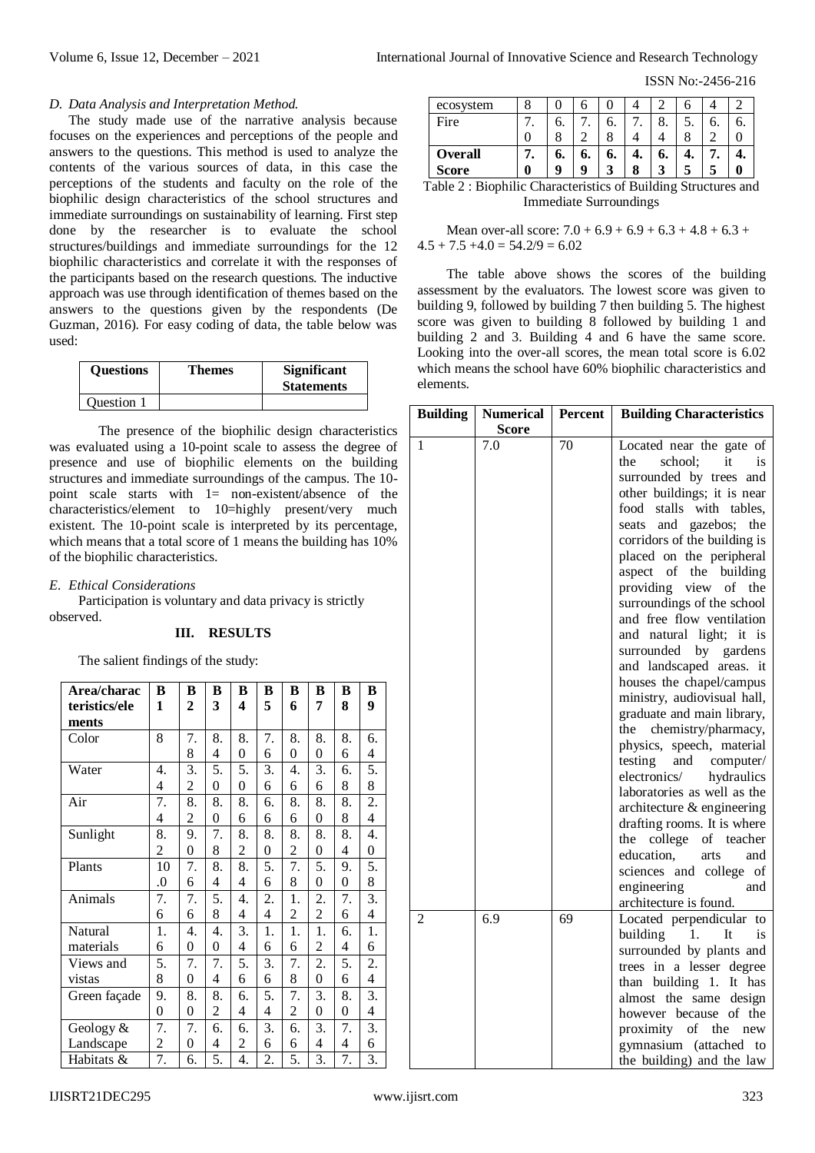ISSN No:-2456-216

#### *D. Data Analysis and Interpretation Method.*

The study made use of the narrative analysis because focuses on the experiences and perceptions of the people and answers to the questions. This method is used to analyze the contents of the various sources of data, in this case the perceptions of the students and faculty on the role of the biophilic design characteristics of the school structures and immediate surroundings on sustainability of learning. First step done by the researcher is to evaluate the school structures/buildings and immediate surroundings for the 12 biophilic characteristics and correlate it with the responses of the participants based on the research questions. The inductive approach was use through identification of themes based on the answers to the questions given by the respondents (De Guzman, 2016). For easy coding of data, the table below was used:

| <b>Ouestions</b> | <b>Themes</b> | <b>Significant</b><br><b>Statements</b> |
|------------------|---------------|-----------------------------------------|
| Ouestion 1       |               |                                         |

The presence of the biophilic design characteristics was evaluated using a 10-point scale to assess the degree of presence and use of biophilic elements on the building structures and immediate surroundings of the campus. The 10 point scale starts with 1= non-existent/absence of the characteristics/element to 10=highly present/very much existent. The 10-point scale is interpreted by its percentage, which means that a total score of 1 means the building has 10% of the biophilic characteristics.

*E. Ethical Considerations*

Participation is voluntary and data privacy is strictly observed.

### **III. RESULTS**

The salient findings of the study:

| Area/charac   | B  | B              | B        | B              | B  | B              | B              | B  | B                |
|---------------|----|----------------|----------|----------------|----|----------------|----------------|----|------------------|
| teristics/ele | 1  | $\overline{2}$ | 3        | 4              | 5  | 6              | 7              | 8  | 9                |
| ments         |    |                |          |                |    |                |                |    |                  |
| Color         | 8  | 7.             | 8.       | 8.             | 7. | 8.             | 8.             | 8. | 6.               |
|               |    | 8              | 4        | $\theta$       | 6  | $\theta$       | $\overline{0}$ | 6  | 4                |
| Water         | 4. | 3.             | 5.       | 5.             | 3. | 4.             | 3.             | б. | 5.               |
|               | 4  | 2              | $\theta$ | $\theta$       | 6  | 6              | 6              | 8  | 8                |
| Air           | 7. | 8.             | 8.       | 8.             | б. | 8.             | 8.             | 8. | 2.               |
|               | 4  | $\overline{c}$ | 0        | 6              | 6  | 6              | $\overline{0}$ | 8  | $\overline{4}$   |
| Sunlight      | 8. | 9.             | 7.       | 8.             | 8. | 8.             | 8.             | 8. | 4.               |
|               | 2  | $\mathbf{0}$   | 8        | $\overline{c}$ | 0  | $\overline{c}$ | $\overline{0}$ | 4  | $\boldsymbol{0}$ |
| Plants        | 10 | 7.             | 8.       | 8.             | 5. | 7.             | 5.             | 9. | 5.               |
|               | .0 | 6              | 4        | 4              | 6  | 8              | $\overline{0}$ | 0  | 8                |
| Animals       | 7. | 7.             | 5.       | 4.             | 2. | 1.             | 2.             | 7. | 3.               |
|               | 6  | 6              | 8        | 4              | 4  | $\overline{2}$ | 2              | 6  | 4                |
| Natural       | 1. | 4.             | 4.       | 3.             | 1. | 1.             | 1.             | 6. | 1.               |
| materials     | 6  | $\overline{0}$ | $\theta$ | 4              | 6  | 6              | 2              | 4  | 6                |
| Views and     | 5. | 7.             | 7.       | 5.             | 3. | 7.             | 2.             | 5. | 2.               |
| vistas        | 8  | $\overline{0}$ | 4        | 6              | 6  | 8              | $\overline{0}$ | 6  | 4                |
| Green façade  | 9. | 8.             | 8.       | 6.             | 5. | 7.             | 3.             | 8. | 3.               |
|               | 0  | 0              | 2        | 4              | 4  | 2              | 0              | 0  | 4                |
| Geology &     | 7. | 7.             | б.       | б.             | 3. | 6.             | 3.             | 7. | 3.               |
| Landscape     | 2  | 0              | 4        | 2              | 6  | 6              | 4              | 4  | 6                |
| Habitats &    | 7. | 6.             | 5.       | 4.             | 2. | 5.             | 3.             | 7. | 3.               |

| ecosystem    |    |    |    |    |         |    |  |
|--------------|----|----|----|----|---------|----|--|
| Fire         | 6. |    |    |    | O<br>o. | O. |  |
|              |    |    |    |    |         |    |  |
| Overall      | o. | o. | o. | т. | o.      |    |  |
| <b>Score</b> |    |    |    |    |         |    |  |

Table 2 : Biophilic Characteristics of Building Structures and Immediate Surroundings

Mean over-all score:  $7.0 + 6.9 + 6.9 + 6.3 + 4.8 + 6.3 +$  $4.5 + 7.5 + 4.0 = 54.2/9 = 6.02$ 

The table above shows the scores of the building assessment by the evaluators. The lowest score was given to building 9, followed by building 7 then building 5. The highest score was given to building 8 followed by building 1 and building 2 and 3. Building 4 and 6 have the same score. Looking into the over-all scores, the mean total score is 6.02 which means the school have 60% biophilic characteristics and elements.

| <b>Building</b> | <b>Numerical</b> | <b>Percent</b> | <b>Building Characteristics</b>                                                                                                                                                                                                                                                                                                                                                                                                                                                                                                                                                                                                                                                                                                                                                                                                                                                     |  |  |  |
|-----------------|------------------|----------------|-------------------------------------------------------------------------------------------------------------------------------------------------------------------------------------------------------------------------------------------------------------------------------------------------------------------------------------------------------------------------------------------------------------------------------------------------------------------------------------------------------------------------------------------------------------------------------------------------------------------------------------------------------------------------------------------------------------------------------------------------------------------------------------------------------------------------------------------------------------------------------------|--|--|--|
|                 | <b>Score</b>     |                |                                                                                                                                                                                                                                                                                                                                                                                                                                                                                                                                                                                                                                                                                                                                                                                                                                                                                     |  |  |  |
| 1               | 7.0              | 70             | Located near the gate of<br>school:<br>it<br>the<br>is<br>surrounded by trees and<br>other buildings; it is near<br>food stalls with tables,<br>seats and gazebos;<br>the<br>corridors of the building is<br>placed on the peripheral<br>aspect of the building<br>providing view of the<br>surroundings of the school<br>and free flow ventilation<br>and natural light; it is<br>surrounded by gardens<br>and landscaped areas. it<br>houses the chapel/campus<br>ministry, audiovisual hall,<br>graduate and main library,<br>the chemistry/pharmacy,<br>physics, speech, material<br>testing<br>and<br>computer/<br>electronics/<br>hydraulics<br>laboratories as well as the<br>architecture & engineering<br>drafting rooms. It is where<br>the college<br>of teacher<br>education,<br>arts<br>and<br>sciences and college of<br>engineering<br>and<br>architecture is found. |  |  |  |
| 2               | 6.9              | 69             | Located perpendicular<br>to<br>building<br>It<br>1.<br>is<br>surrounded by plants and<br>trees in a lesser degree<br>building<br>1.<br>It has<br>than<br>almost the<br>same<br>design<br>however because of the<br>proximity of<br>the<br>new<br>gymnasium<br>(attached<br>to<br>the building) and the law                                                                                                                                                                                                                                                                                                                                                                                                                                                                                                                                                                          |  |  |  |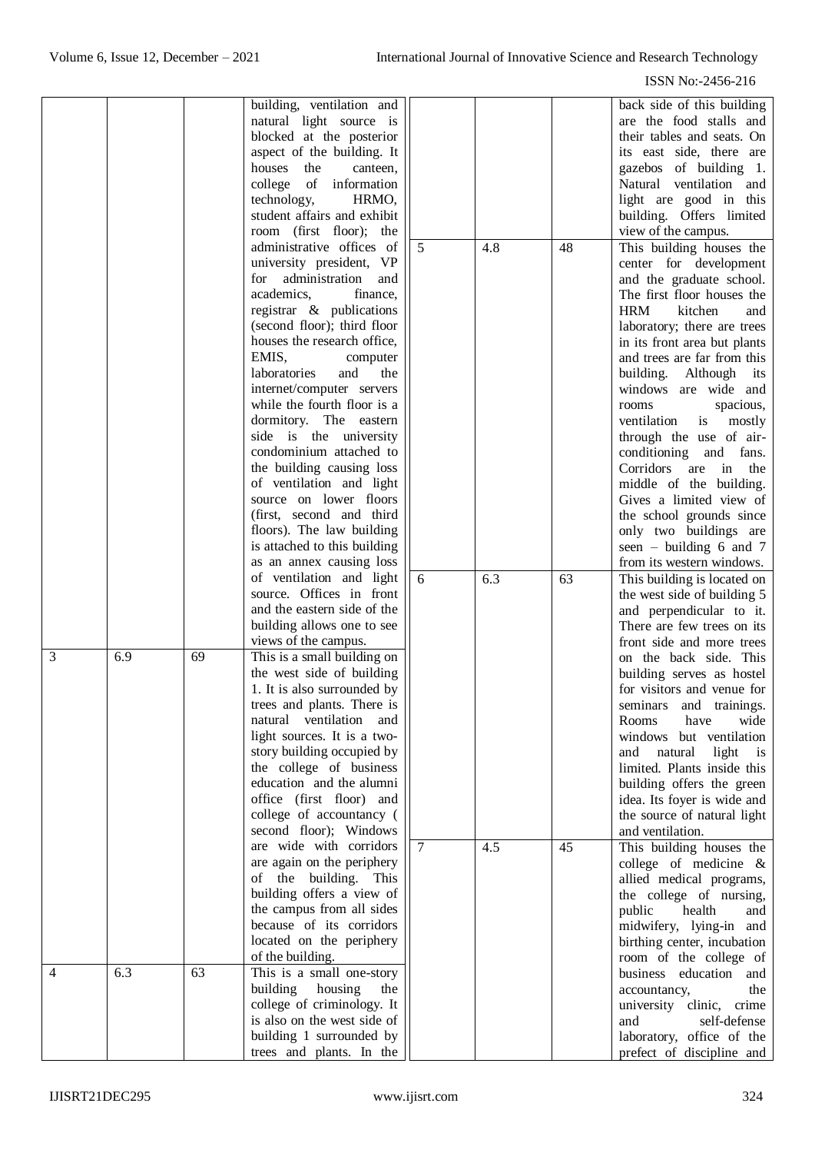ISSN No:-2456-216

|                |     |    | building, ventilation and                            |                |     |    | back side of this building                             |
|----------------|-----|----|------------------------------------------------------|----------------|-----|----|--------------------------------------------------------|
|                |     |    | natural light source is                              |                |     |    | are the food stalls and                                |
|                |     |    | blocked at the posterior                             |                |     |    | their tables and seats. On                             |
|                |     |    | aspect of the building. It                           |                |     |    | its east side, there are                               |
|                |     |    | houses<br>the<br>canteen,                            |                |     |    | gazebos of building 1.                                 |
|                |     |    |                                                      |                |     |    |                                                        |
|                |     |    | college of information                               |                |     |    | Natural ventilation and                                |
|                |     |    | technology,<br>HRMO,                                 |                |     |    | light are good in this                                 |
|                |     |    | student affairs and exhibit                          |                |     |    | building. Offers limited                               |
|                |     |    | room (first floor); the                              |                |     |    | view of the campus.                                    |
|                |     |    | administrative offices of                            | 5              | 4.8 | 48 | This building houses the                               |
|                |     |    |                                                      |                |     |    |                                                        |
|                |     |    | university president, VP                             |                |     |    | center for development                                 |
|                |     |    | administration<br>for<br>and                         |                |     |    | and the graduate school.                               |
|                |     |    | academics,<br>finance,                               |                |     |    | The first floor houses the                             |
|                |     |    | registrar & publications                             |                |     |    | <b>HRM</b><br>kitchen<br>and                           |
|                |     |    | (second floor); third floor                          |                |     |    | laboratory; there are trees                            |
|                |     |    | houses the research office,                          |                |     |    | in its front area but plants                           |
|                |     |    |                                                      |                |     |    |                                                        |
|                |     |    | EMIS,<br>computer                                    |                |     |    | and trees are far from this                            |
|                |     |    | laboratories<br>and<br>the                           |                |     |    | building. Although its                                 |
|                |     |    | internet/computer servers                            |                |     |    | windows are wide and                                   |
|                |     |    | while the fourth floor is a                          |                |     |    | rooms<br>spacious,                                     |
|                |     |    | dormitory. The eastern                               |                |     |    | ventilation<br>is<br>mostly                            |
|                |     |    | side is the university                               |                |     |    | through the use of air-                                |
|                |     |    |                                                      |                |     |    |                                                        |
|                |     |    | condominium attached to                              |                |     |    | conditioning and fans.                                 |
|                |     |    | the building causing loss                            |                |     |    | Corridors are in<br>the                                |
|                |     |    | of ventilation and light                             |                |     |    | middle of the building.                                |
|                |     |    | source on lower floors                               |                |     |    | Gives a limited view of                                |
|                |     |    | (first, second and third                             |                |     |    | the school grounds since                               |
|                |     |    | floors). The law building                            |                |     |    |                                                        |
|                |     |    |                                                      |                |     |    | only two buildings are                                 |
|                |     |    | is attached to this building                         |                |     |    | seen – building $6$ and $7$                            |
|                |     |    | as an annex causing loss                             |                |     |    | from its western windows.                              |
|                |     |    | of ventilation and light                             | 6              | 6.3 | 63 | This building is located on                            |
|                |     |    | source. Offices in front                             |                |     |    | the west side of building 5                            |
|                |     |    | and the eastern side of the                          |                |     |    | and perpendicular to it.                               |
|                |     |    | building allows one to see                           |                |     |    | There are few trees on its                             |
|                |     |    |                                                      |                |     |    |                                                        |
|                |     |    | views of the campus.                                 |                |     |    | front side and more trees                              |
| 3              | 6.9 | 69 | This is a small building on                          |                |     |    | on the back side. This                                 |
|                |     |    | the west side of building                            |                |     |    | building serves as hostel                              |
|                |     |    |                                                      |                |     |    |                                                        |
|                |     |    |                                                      |                |     |    |                                                        |
|                |     |    | 1. It is also surrounded by                          |                |     |    | for visitors and venue for                             |
|                |     |    | trees and plants. There is                           |                |     |    | seminars and trainings.                                |
|                |     |    | natural ventilation and                              |                |     |    | Rooms<br>wide<br>have                                  |
|                |     |    | light sources. It is a two-                          |                |     |    | windows but ventilation                                |
|                |     |    | story building occupied by                           |                |     |    | and natural<br>light<br>is                             |
|                |     |    | the college of business                              |                |     |    | limited. Plants inside this                            |
|                |     |    |                                                      |                |     |    |                                                        |
|                |     |    | education and the alumni                             |                |     |    | building offers the green                              |
|                |     |    | office (first floor) and                             |                |     |    | idea. Its foyer is wide and                            |
|                |     |    | college of accountancy (                             |                |     |    | the source of natural light                            |
|                |     |    | second floor); Windows                               |                |     |    | and ventilation.                                       |
|                |     |    | are wide with corridors                              | $\overline{7}$ | 4.5 | 45 | This building houses the                               |
|                |     |    | are again on the periphery                           |                |     |    | college of medicine $\&$                               |
|                |     |    |                                                      |                |     |    |                                                        |
|                |     |    | of the building. This                                |                |     |    | allied medical programs,                               |
|                |     |    | building offers a view of                            |                |     |    | the college of nursing,                                |
|                |     |    | the campus from all sides                            |                |     |    | public<br>health<br>and                                |
|                |     |    | because of its corridors                             |                |     |    | midwifery, lying-in and                                |
|                |     |    | located on the periphery                             |                |     |    | birthing center, incubation                            |
|                |     |    | of the building.                                     |                |     |    | room of the college of                                 |
| $\overline{4}$ | 6.3 | 63 | This is a small one-story                            |                |     |    | business education and                                 |
|                |     |    |                                                      |                |     |    |                                                        |
|                |     |    | building housing<br>the                              |                |     |    | accountancy,<br>the                                    |
|                |     |    | college of criminology. It                           |                |     |    | university clinic, crime                               |
|                |     |    | is also on the west side of                          |                |     |    | and<br>self-defense                                    |
|                |     |    | building 1 surrounded by<br>trees and plants. In the |                |     |    | laboratory, office of the<br>prefect of discipline and |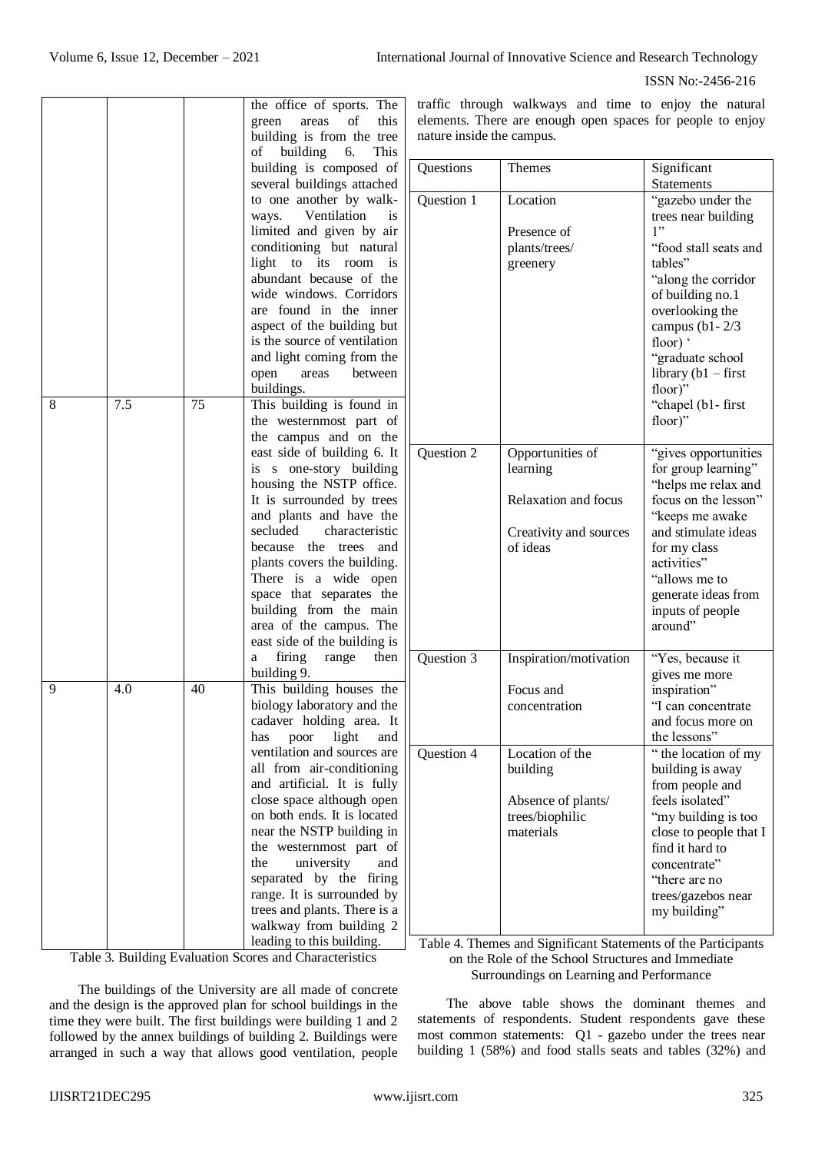ISSN No:-2456-216

|     |    | the office of sports. The<br>this<br>of<br>green<br>areas<br>building is from the tree<br>building 6.<br>This<br>of<br>building is composed of<br>several buildings attached<br>to one another by walk-<br>Ventilation<br>ways.<br>is.<br>limited and given by air<br>conditioning but natural<br>light<br>is<br>to<br>its<br>room<br>abundant because of the<br>wide windows. Corridors<br>are found in the inner<br>aspect of the building but<br>is the source of ventilation        | t<br>6<br>ľ<br>$\overline{\phantom{a}}$                                             |
|-----|----|-----------------------------------------------------------------------------------------------------------------------------------------------------------------------------------------------------------------------------------------------------------------------------------------------------------------------------------------------------------------------------------------------------------------------------------------------------------------------------------------|-------------------------------------------------------------------------------------|
|     |    | open<br>areas between                                                                                                                                                                                                                                                                                                                                                                                                                                                                   |                                                                                     |
| 7.5 | 75 | This building is found in<br>the westernmost part of<br>the campus and on the<br>east side of building 6. It<br>is s one-story building<br>housing the NSTP office.<br>It is surrounded by trees<br>and plants and have the<br>secluded<br>characteristic<br>because the trees and<br>plants covers the building.<br>There is a wide open<br>space that separates the<br>building from the main<br>area of the campus. The<br>east side of the building is<br>firing range<br>then<br>a |                                                                                     |
| 4.0 | 40 | This building houses the<br>biology laboratory and the<br>cadaver holding area. It<br>light<br>poor<br>has<br>and<br>ventilation and sources are<br>all from air-conditioning<br>and artificial. It is fully<br>close space although open<br>on both ends. It is located<br>near the NSTP building in<br>the westernmost part of<br>the<br>university<br>and<br>separated by the<br>firing<br>range. It is surrounded by<br>trees and plants. There is a<br>walkway from building 2     |                                                                                     |
|     |    |                                                                                                                                                                                                                                                                                                                                                                                                                                                                                         | and light coming from the<br>buildings.<br>building 9.<br>leading to this building. |

Table 3. Building Evaluation Scores and Characteristics

The buildings of the University are all made of concrete and the design is the approved plan for school buildings in the time they were built. The first buildings were building 1 and 2 followed by the annex buildings of building 2. Buildings were arranged in such a way that allows good ventilation, people traffic through walkways and time to enjoy the natural elements. There are enough open spaces for people to enjoy nature inside the campus.

| Questions                | Themes                                                                                                                                    | Significant                                                                                                                                                                                                                                                                                         |
|--------------------------|-------------------------------------------------------------------------------------------------------------------------------------------|-----------------------------------------------------------------------------------------------------------------------------------------------------------------------------------------------------------------------------------------------------------------------------------------------------|
|                          |                                                                                                                                           | <b>Statements</b>                                                                                                                                                                                                                                                                                   |
| Question 1               | Location<br>Presence of<br>plants/trees/<br>greenery                                                                                      | "gazebo under the<br>trees near building<br>1"<br>"food stall seats and<br>tables"<br>"along the corridor"<br>of building no.1<br>overlooking the<br>campus (b1 - $2/3$<br>floor) '<br>"graduate school<br>library $(b1 - first)$<br>floor)"<br>"chapel (b1-first<br>floor)"                        |
| Question 2               | Opportunities of<br>learning<br>Relaxation and focus<br>Creativity and sources<br>of ideas                                                | "gives opportunities<br>for group learning"<br>"helps me relax and<br>focus on the lesson"<br>"keeps me awake<br>and stimulate ideas<br>for my class<br>activities"<br>"allows me to<br>generate ideas from<br>inputs of people<br>around"                                                          |
| Question 3<br>Question 4 | Inspiration/motivation<br>Focus and<br>concentration<br>Location of the<br>building<br>Absence of plants/<br>trees/biophilic<br>materials | "Yes, because it<br>gives me more<br>inspiration"<br>"I can concentrate<br>and focus more on<br>the lessons"<br>" the location of my<br>building is away<br>from people and<br>feels isolated"<br>"my building is too<br>close to people that I<br>find it hard to<br>concentrate"<br>"there are no |
|                          |                                                                                                                                           | trees/gazebos near<br>my building"                                                                                                                                                                                                                                                                  |

Table 4. Themes and Significant Statements of the Participants on the Role of the School Structures and Immediate Surroundings on Learning and Performance

The above table shows the dominant themes and statements of respondents. Student respondents gave these most common statements: Q1 - gazebo under the trees near building 1 (58%) and food stalls seats and tables (32%) and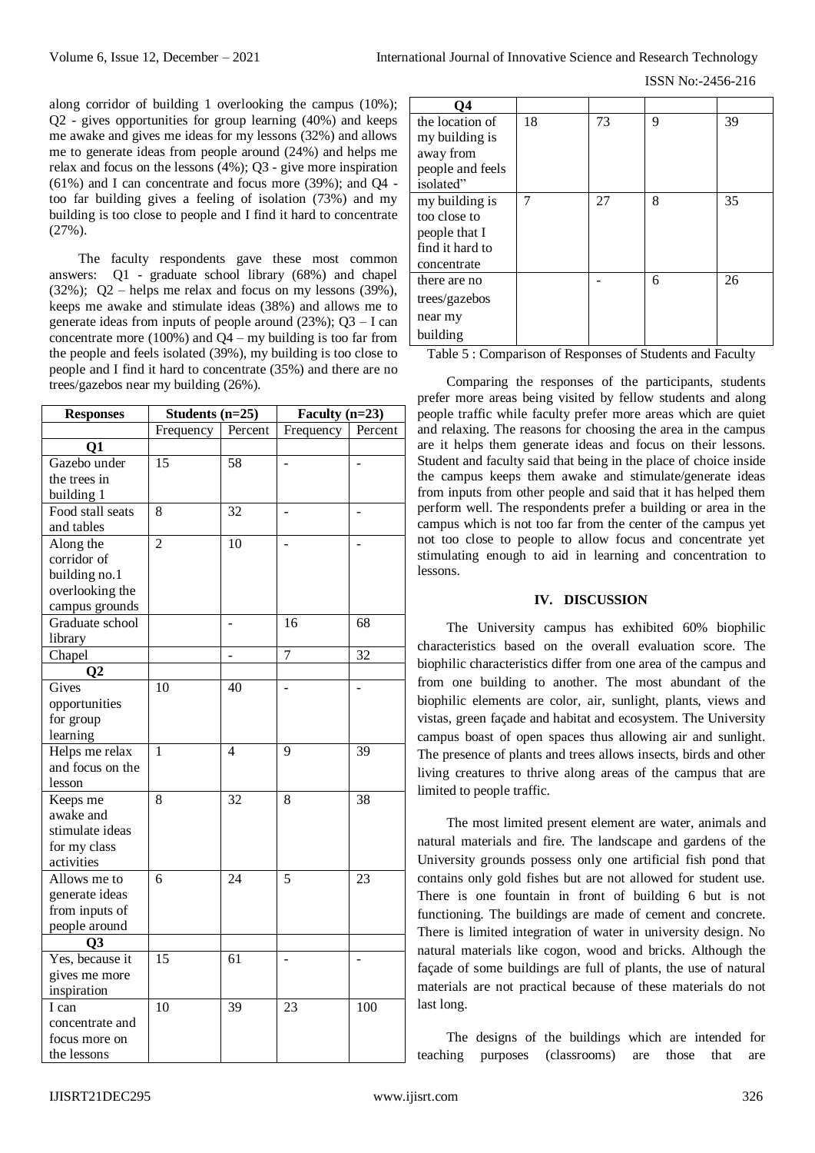ISSN No:-2456-216

along corridor of building 1 overlooking the campus (10%); Q2 - gives opportunities for group learning (40%) and keeps me awake and gives me ideas for my lessons (32%) and allows me to generate ideas from people around (24%) and helps me relax and focus on the lessons (4%); Q3 - give more inspiration (61%) and I can concentrate and focus more (39%); and Q4 too far building gives a feeling of isolation (73%) and my building is too close to people and I find it hard to concentrate (27%).

The faculty respondents gave these most common answers: Q1 - graduate school library (68%) and chapel (32%); Q2 – helps me relax and focus on my lessons (39%), keeps me awake and stimulate ideas (38%) and allows me to generate ideas from inputs of people around  $(23%)$ ;  $Q3 - I$  can concentrate more (100%) and  $Q4 - my$  building is too far from the people and feels isolated (39%), my building is too close to people and I find it hard to concentrate (35%) and there are no trees/gazebos near my building (26%).

| <b>Responses</b> | Students $(n=25)$ |         | Faculty $(n=23)$ |         |
|------------------|-------------------|---------|------------------|---------|
|                  | Frequency         | Percent | Frequency        | Percent |
| $\mathbf{Q}$ 1   |                   |         |                  |         |
| Gazebo under     | 15                | 58      |                  |         |
| the trees in     |                   |         |                  |         |
| building 1       |                   |         |                  |         |
| Food stall seats | $\overline{8}$    | 32      |                  |         |
| and tables       |                   |         |                  |         |
| Along the        | $\overline{2}$    | 10      |                  |         |
| corridor of      |                   |         |                  |         |
| building no.1    |                   |         |                  |         |
| overlooking the  |                   |         |                  |         |
| campus grounds   |                   |         |                  |         |
| Graduate school  |                   |         | 16               | 68      |
| library          |                   |         |                  |         |
| Chapel           |                   | ÷       | $\overline{7}$   | 32      |
| $\bf Q2$         |                   |         |                  |         |
| Gives            | 10                | 40      |                  |         |
| opportunities    |                   |         |                  |         |
| for group        |                   |         |                  |         |
| learning         |                   |         |                  |         |
| Helps me relax   | 1                 | 4       | 9                | 39      |
| and focus on the |                   |         |                  |         |
| lesson           |                   |         |                  |         |
| Keeps me         | 8                 | 32      | 8                | 38      |
| awake and        |                   |         |                  |         |
| stimulate ideas  |                   |         |                  |         |
| for my class     |                   |         |                  |         |
| activities       |                   |         |                  |         |
| Allows me to     | 6                 | 24      | 5                | 23      |
| generate ideas   |                   |         |                  |         |
| from inputs of   |                   |         |                  |         |
| people around    |                   |         |                  |         |
| Q3               |                   |         |                  |         |
| Yes, because it  | 15                | 61      |                  |         |
| gives me more    |                   |         |                  |         |
| inspiration      |                   |         |                  |         |
| I can            | 10                | 39      | 23               | 100     |
| concentrate and  |                   |         |                  |         |
| focus more on    |                   |         |                  |         |
| the lessons      |                   |         |                  |         |

| О4               |    |    |   |    |
|------------------|----|----|---|----|
| the location of  | 18 | 73 | 9 | 39 |
| my building is   |    |    |   |    |
| away from        |    |    |   |    |
| people and feels |    |    |   |    |
| isolated"        |    |    |   |    |
| my building is   | 7  | 27 | 8 | 35 |
| too close to     |    |    |   |    |
| people that I    |    |    |   |    |
| find it hard to  |    |    |   |    |
| concentrate      |    |    |   |    |
| there are no     |    |    | 6 | 26 |
| trees/gazebos    |    |    |   |    |
| near my          |    |    |   |    |
| building         |    |    |   |    |

Table 5 : Comparison of Responses of Students and Faculty

Comparing the responses of the participants, students prefer more areas being visited by fellow students and along people traffic while faculty prefer more areas which are quiet and relaxing. The reasons for choosing the area in the campus are it helps them generate ideas and focus on their lessons. Student and faculty said that being in the place of choice inside the campus keeps them awake and stimulate/generate ideas from inputs from other people and said that it has helped them perform well. The respondents prefer a building or area in the campus which is not too far from the center of the campus yet not too close to people to allow focus and concentrate yet stimulating enough to aid in learning and concentration to lessons.

## **IV. DISCUSSION**

The University campus has exhibited 60% biophilic characteristics based on the overall evaluation score. The biophilic characteristics differ from one area of the campus and from one building to another. The most abundant of the biophilic elements are color, air, sunlight, plants, views and vistas, green façade and habitat and ecosystem. The University campus boast of open spaces thus allowing air and sunlight. The presence of plants and trees allows insects, birds and other living creatures to thrive along areas of the campus that are limited to people traffic.

The most limited present element are water, animals and natural materials and fire. The landscape and gardens of the University grounds possess only one artificial fish pond that contains only gold fishes but are not allowed for student use. There is one fountain in front of building 6 but is not functioning. The buildings are made of cement and concrete. There is limited integration of water in university design. No natural materials like cogon, wood and bricks. Although the façade of some buildings are full of plants, the use of natural materials are not practical because of these materials do not last long.

The designs of the buildings which are intended for teaching purposes (classrooms) are those that are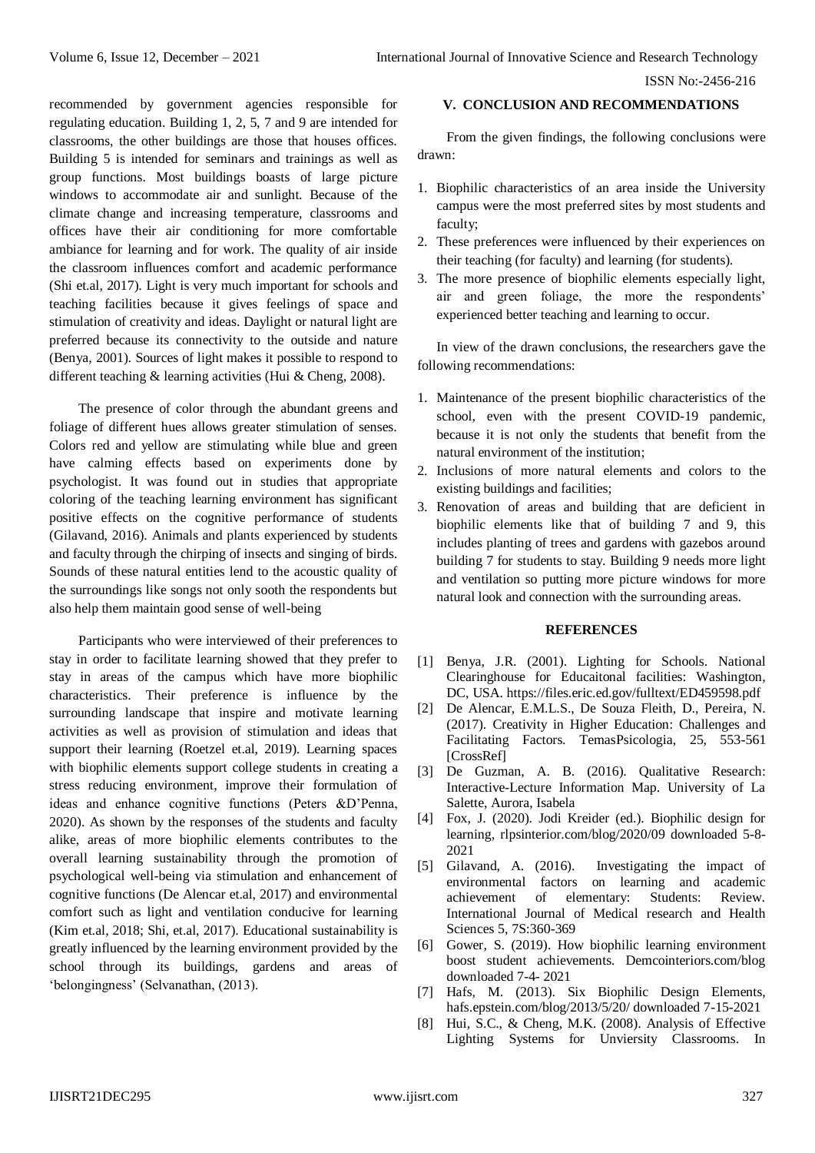recommended by government agencies responsible for regulating education. Building 1, 2, 5, 7 and 9 are intended for classrooms, the other buildings are those that houses offices. Building 5 is intended for seminars and trainings as well as group functions. Most buildings boasts of large picture windows to accommodate air and sunlight. Because of the climate change and increasing temperature, classrooms and offices have their air conditioning for more comfortable ambiance for learning and for work. The quality of air inside the classroom influences comfort and academic performance (Shi et.al, 2017). Light is very much important for schools and teaching facilities because it gives feelings of space and stimulation of creativity and ideas. Daylight or natural light are preferred because its connectivity to the outside and nature (Benya, 2001). Sources of light makes it possible to respond to different teaching & learning activities (Hui & Cheng, 2008).

The presence of color through the abundant greens and foliage of different hues allows greater stimulation of senses. Colors red and yellow are stimulating while blue and green have calming effects based on experiments done by psychologist. It was found out in studies that appropriate coloring of the teaching learning environment has significant positive effects on the cognitive performance of students (Gilavand, 2016). Animals and plants experienced by students and faculty through the chirping of insects and singing of birds. Sounds of these natural entities lend to the acoustic quality of the surroundings like songs not only sooth the respondents but also help them maintain good sense of well-being

Participants who were interviewed of their preferences to stay in order to facilitate learning showed that they prefer to stay in areas of the campus which have more biophilic characteristics. Their preference is influence by the surrounding landscape that inspire and motivate learning activities as well as provision of stimulation and ideas that support their learning (Roetzel et.al, 2019). Learning spaces with biophilic elements support college students in creating a stress reducing environment, improve their formulation of ideas and enhance cognitive functions (Peters &D'Penna, 2020). As shown by the responses of the students and faculty alike, areas of more biophilic elements contributes to the overall learning sustainability through the promotion of psychological well-being via stimulation and enhancement of cognitive functions (De Alencar et.al, 2017) and environmental comfort such as light and ventilation conducive for learning (Kim et.al, 2018; Shi, et.al, 2017). Educational sustainability is greatly influenced by the learning environment provided by the school through its buildings, gardens and areas of 'belongingness' (Selvanathan, (2013).

#### **V. CONCLUSION AND RECOMMENDATIONS**

From the given findings, the following conclusions were drawn:

- 1. Biophilic characteristics of an area inside the University campus were the most preferred sites by most students and faculty;
- 2. These preferences were influenced by their experiences on their teaching (for faculty) and learning (for students).
- 3. The more presence of biophilic elements especially light, air and green foliage, the more the respondents' experienced better teaching and learning to occur.

In view of the drawn conclusions, the researchers gave the following recommendations:

- 1. Maintenance of the present biophilic characteristics of the school, even with the present COVID-19 pandemic, because it is not only the students that benefit from the natural environment of the institution;
- 2. Inclusions of more natural elements and colors to the existing buildings and facilities;
- 3. Renovation of areas and building that are deficient in biophilic elements like that of building 7 and 9, this includes planting of trees and gardens with gazebos around building 7 for students to stay. Building 9 needs more light and ventilation so putting more picture windows for more natural look and connection with the surrounding areas.

#### **REFERENCES**

- [1] Benya, J.R. (2001). Lighting for Schools. National Clearinghouse for Educaitonal facilities: Washington, DC, USA.<https://files.eric.ed.gov/fulltext/ED459598.pdf>
- [2] De Alencar, E.M.L.S., De Souza Fleith, D., Pereira, N. (2017). Creativity in Higher Education: Challenges and Facilitating Factors. TemasPsicologia, 25, 553-561 [CrossRef]
- [3] De Guzman, A. B. (2016). Qualitative Research: Interactive-Lecture Information Map. University of La Salette, Aurora, Isabela
- [4] Fox, J. (2020). Jodi Kreider (ed.). Biophilic design for learning, rlpsinterior.com/blog/2020/09 downloaded 5-8- 2021
- [5] Gilavand, A. (2016). Investigating the impact of environmental factors on learning and academic achievement of elementary: Students: Review. International Journal of Medical research and Health Sciences 5, 7S:360-369
- [6] Gower, S. (2019). How biophilic learning environment boost student achievements. Demcointeriors.com/blog downloaded 7-4- 2021
- [7] Hafs, M. (2013). Six Biophilic Design Elements, hafs.epstein.com/blog/2013/5/20/ downloaded 7-15-2021
- [8] Hui, S.C., & Cheng, M.K. (2008). Analysis of Effective Lighting Systems for Unviersity Classrooms. In